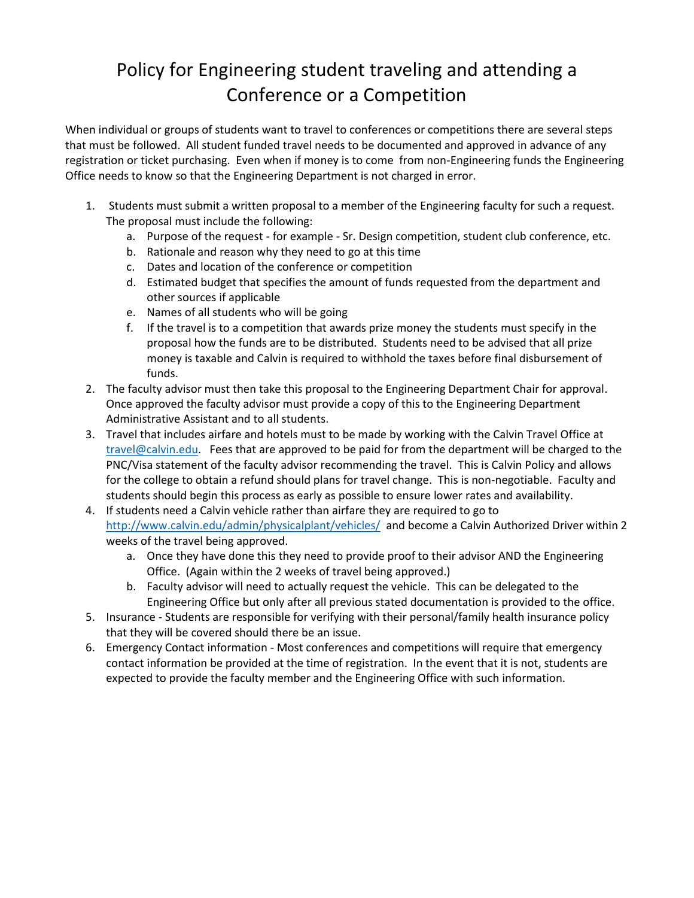## Policy for Engineering student traveling and attending a Conference or a Competition

When individual or groups of students want to travel to conferences or competitions there are several steps that must be followed. All student funded travel needs to be documented and approved in advance of any registration or ticket purchasing. Even when if money is to come from non-Engineering funds the Engineering Office needs to know so that the Engineering Department is not charged in error.

- 1. Students must submit a written proposal to a member of the Engineering faculty for such a request. The proposal must include the following:
	- a. Purpose of the request for example Sr. Design competition, student club conference, etc.
	- b. Rationale and reason why they need to go at this time
	- c. Dates and location of the conference or competition
	- d. Estimated budget that specifies the amount of funds requested from the department and other sources if applicable
	- e. Names of all students who will be going
	- f. If the travel is to a competition that awards prize money the students must specify in the proposal how the funds are to be distributed. Students need to be advised that all prize money is taxable and Calvin is required to withhold the taxes before final disbursement of funds.
- 2. The faculty advisor must then take this proposal to the Engineering Department Chair for approval. Once approved the faculty advisor must provide a copy of this to the Engineering Department Administrative Assistant and to all students.
- 3. Travel that includes airfare and hotels must to be made by working with the Calvin Travel Office at [travel@calvin.edu.](mailto:travel@calvin.edu) Fees that are approved to be paid for from the department will be charged to the PNC/Visa statement of the faculty advisor recommending the travel. This is Calvin Policy and allows for the college to obtain a refund should plans for travel change. This is non-negotiable. Faculty and students should begin this process as early as possible to ensure lower rates and availability.
- 4. If students need a Calvin vehicle rather than airfare they are required to go to <http://www.calvin.edu/admin/physicalplant/vehicles/>and become a Calvin Authorized Driver within 2 weeks of the travel being approved.
	- a. Once they have done this they need to provide proof to their advisor AND the Engineering Office. (Again within the 2 weeks of travel being approved.)
	- b. Faculty advisor will need to actually request the vehicle. This can be delegated to the Engineering Office but only after all previous stated documentation is provided to the office.
- 5. Insurance Students are responsible for verifying with their personal/family health insurance policy that they will be covered should there be an issue.
- 6. Emergency Contact information Most conferences and competitions will require that emergency contact information be provided at the time of registration. In the event that it is not, students are expected to provide the faculty member and the Engineering Office with such information.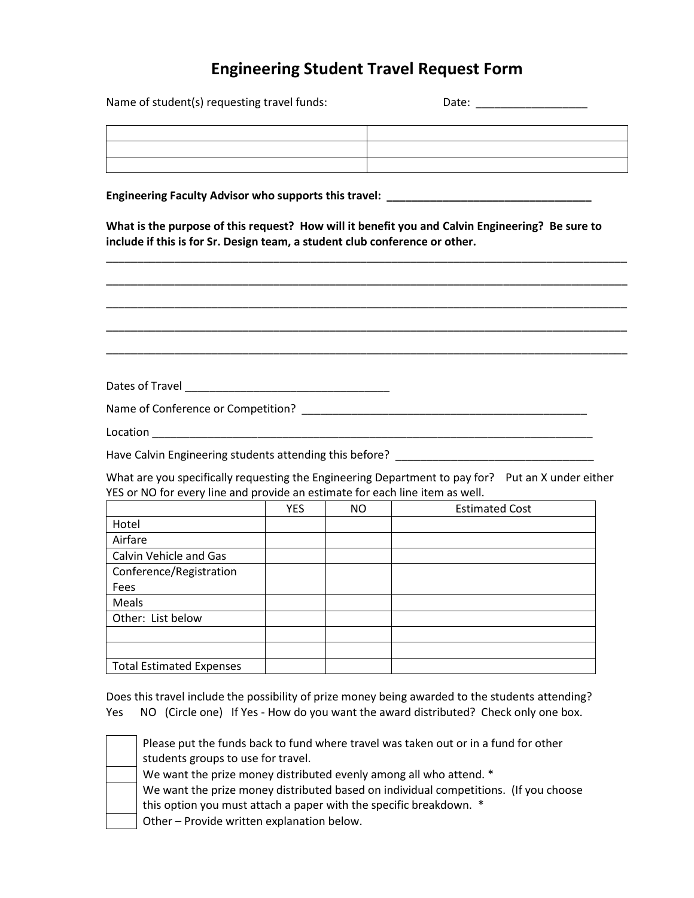## **Engineering Student Travel Request Form**

Name of student(s) requesting travel funds: Date: \_\_\_\_\_\_\_\_\_\_\_\_\_\_\_\_\_\_\_\_\_\_\_\_\_\_\_\_\_\_

| the contract of the contract of the contract of the contract of the contract of the contract of the contract of |  |
|-----------------------------------------------------------------------------------------------------------------|--|
|                                                                                                                 |  |
|                                                                                                                 |  |
|                                                                                                                 |  |
|                                                                                                                 |  |
|                                                                                                                 |  |
|                                                                                                                 |  |

Engineering Faculty Advisor who supports this travel: \_\_\_\_\_\_\_\_\_\_\_\_\_\_\_\_\_\_\_\_\_\_\_\_\_\_\_

**What is the purpose of this request? How will it benefit you and Calvin Engineering? Be sure to include if this is for Sr. Design team, a student club conference or other.**

\_\_\_\_\_\_\_\_\_\_\_\_\_\_\_\_\_\_\_\_\_\_\_\_\_\_\_\_\_\_\_\_\_\_\_\_\_\_\_\_\_\_\_\_\_\_\_\_\_\_\_\_\_\_\_\_\_\_\_\_\_\_\_\_\_\_\_\_\_\_\_\_\_\_\_\_\_\_\_\_\_\_\_\_

\_\_\_\_\_\_\_\_\_\_\_\_\_\_\_\_\_\_\_\_\_\_\_\_\_\_\_\_\_\_\_\_\_\_\_\_\_\_\_\_\_\_\_\_\_\_\_\_\_\_\_\_\_\_\_\_\_\_\_\_\_\_\_\_\_\_\_\_\_\_\_\_\_\_\_\_\_\_\_\_\_\_\_\_

\_\_\_\_\_\_\_\_\_\_\_\_\_\_\_\_\_\_\_\_\_\_\_\_\_\_\_\_\_\_\_\_\_\_\_\_\_\_\_\_\_\_\_\_\_\_\_\_\_\_\_\_\_\_\_\_\_\_\_\_\_\_\_\_\_\_\_\_\_\_\_\_\_\_\_\_\_\_\_\_\_\_\_\_ \_\_\_\_\_\_\_\_\_\_\_\_\_\_\_\_\_\_\_\_\_\_\_\_\_\_\_\_\_\_\_\_\_\_\_\_\_\_\_\_\_\_\_\_\_\_\_\_\_\_\_\_\_\_\_\_\_\_\_\_\_\_\_\_\_\_\_\_\_\_\_\_\_\_\_\_\_\_\_\_\_\_\_\_ \_\_\_\_\_\_\_\_\_\_\_\_\_\_\_\_\_\_\_\_\_\_\_\_\_\_\_\_\_\_\_\_\_\_\_\_\_\_\_\_\_\_\_\_\_\_\_\_\_\_\_\_\_\_\_\_\_\_\_\_\_\_\_\_\_\_\_\_\_\_\_\_\_\_\_\_\_\_\_\_\_\_\_\_ Dates of Travel \_\_\_\_\_\_\_\_\_\_\_\_\_\_\_\_\_\_\_\_\_\_\_\_\_\_\_\_\_\_\_\_\_ Name of Conference or Competition? \_\_\_\_\_\_\_\_\_\_\_\_\_\_\_\_\_\_\_\_\_\_\_\_\_\_\_\_\_\_\_\_\_\_\_\_\_\_\_\_\_\_\_\_\_\_ Location \_\_\_\_\_\_\_\_\_\_\_\_\_\_\_\_\_\_\_\_\_\_\_\_\_\_\_\_\_\_\_\_\_\_\_\_\_\_\_\_\_\_\_\_\_\_\_\_\_\_\_\_\_\_\_\_\_\_\_\_\_\_\_\_\_\_\_\_\_\_\_

Have Calvin Engineering students attending this before? \_\_\_\_\_\_\_\_\_\_\_\_\_\_\_\_\_\_\_\_\_\_\_\_

What are you specifically requesting the Engineering Department to pay for? Put an X under either YES or NO for every line and provide an estimate for each line item as well.

|                                 | <b>YES</b> | <b>NO</b> | <b>Estimated Cost</b> |
|---------------------------------|------------|-----------|-----------------------|
| Hotel                           |            |           |                       |
| Airfare                         |            |           |                       |
| Calvin Vehicle and Gas          |            |           |                       |
| Conference/Registration         |            |           |                       |
| Fees                            |            |           |                       |
| Meals                           |            |           |                       |
| Other: List below               |            |           |                       |
|                                 |            |           |                       |
|                                 |            |           |                       |
| <b>Total Estimated Expenses</b> |            |           |                       |

Does this travel include the possibility of prize money being awarded to the students attending? Yes NO (Circle one) If Yes - How do you want the award distributed? Check only one box.

| Please put the funds back to fund where travel was taken out or in a fund for other<br>students groups to use for travel.                                  |
|------------------------------------------------------------------------------------------------------------------------------------------------------------|
| We want the prize money distributed evenly among all who attend. *                                                                                         |
| We want the prize money distributed based on individual competitions. (If you choose<br>this option you must attach a paper with the specific breakdown. * |
| Other - Provide written explanation below.                                                                                                                 |